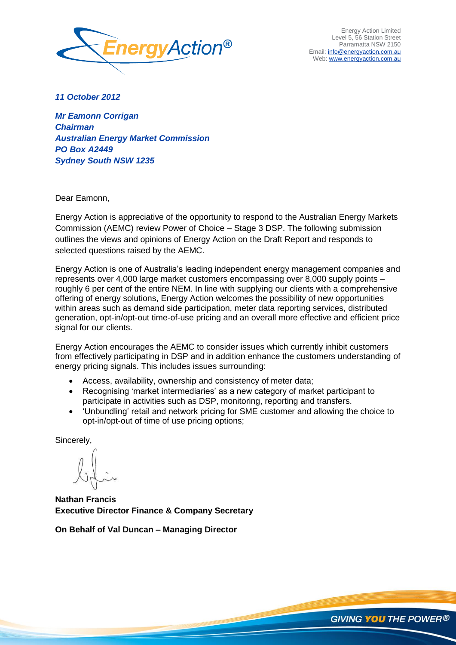

Energy Action Limited Level 5, 56 Station Street Parramatta NSW 2150 Email: info@energyaction.com.au Web: www.energyaction.com.au

*11 October 2012* 

*Mr Eamonn Corrigan Chairman Australian Energy Market Commission PO Box A2449 Sydney South NSW 1235*

Dear Eamonn,

Energy Action is appreciative of the opportunity to respond to the Australian Energy Markets Commission (AEMC) review Power of Choice – Stage 3 DSP. The following submission outlines the views and opinions of Energy Action on the Draft Report and responds to selected questions raised by the AEMC.

Energy Action is one of Australia"s leading independent energy management companies and represents over 4,000 large market customers encompassing over 8,000 supply points – roughly 6 per cent of the entire NEM. In line with supplying our clients with a comprehensive offering of energy solutions, Energy Action welcomes the possibility of new opportunities within areas such as demand side participation, meter data reporting services, distributed generation, opt-in/opt-out time-of-use pricing and an overall more effective and efficient price signal for our clients.

Energy Action encourages the AEMC to consider issues which currently inhibit customers from effectively participating in DSP and in addition enhance the customers understanding of energy pricing signals. This includes issues surrounding:

- Access, availability, ownership and consistency of meter data;
- Recognising 'market intermediaries' as a new category of market participant to participate in activities such as DSP, monitoring, reporting and transfers.
- "Unbundling" retail and network pricing for SME customer and allowing the choice to opt-in/opt-out of time of use pricing options;

Sincerely,

**Nathan Francis Executive Director Finance & Company Secretary**

**On Behalf of Val Duncan – Managing Director**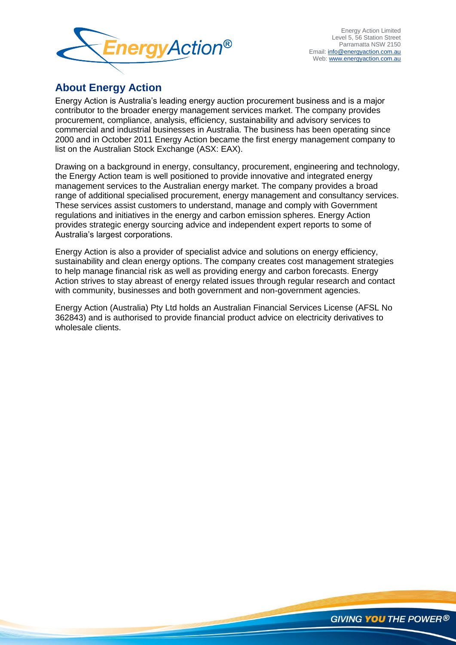

# **About Energy Action**

Energy Action is Australia"s leading energy auction procurement business and is a major contributor to the broader energy management services market. The company provides procurement, compliance, analysis, efficiency, sustainability and advisory services to commercial and industrial businesses in Australia. The business has been operating since 2000 and in October 2011 Energy Action became the first energy management company to list on the Australian Stock Exchange (ASX: EAX).

Drawing on a background in energy, consultancy, procurement, engineering and technology, the Energy Action team is well positioned to provide innovative and integrated energy management services to the Australian energy market. The company provides a broad range of additional specialised procurement, energy management and consultancy services. These services assist customers to understand, manage and comply with Government regulations and initiatives in the energy and carbon emission spheres. Energy Action provides strategic energy sourcing advice and independent expert reports to some of Australia"s largest corporations.

Energy Action is also a provider of specialist advice and solutions on energy efficiency, sustainability and clean energy options. The company creates cost management strategies to help manage financial risk as well as providing energy and carbon forecasts. Energy Action strives to stay abreast of energy related issues through regular research and contact with community, businesses and both government and non-government agencies.

Energy Action (Australia) Pty Ltd holds an Australian Financial Services License (AFSL No 362843) and is authorised to provide financial product advice on electricity derivatives to wholesale clients.

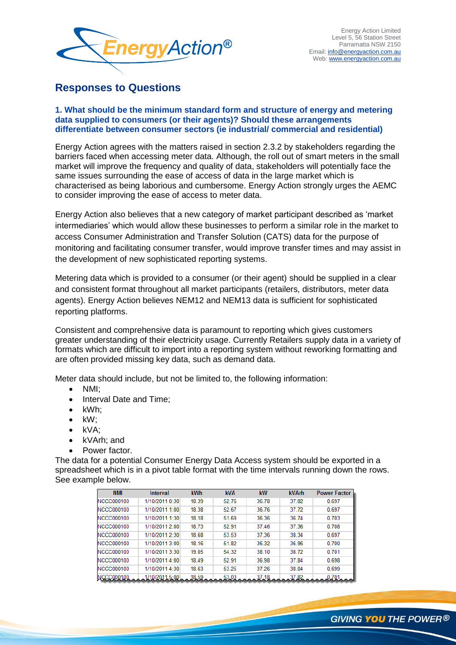

# **Responses to Questions**

### **1. What should be the minimum standard form and structure of energy and metering data supplied to consumers (or their agents)? Should these arrangements differentiate between consumer sectors (ie industrial/ commercial and residential)**

Energy Action agrees with the matters raised in section 2.3.2 by stakeholders regarding the barriers faced when accessing meter data. Although, the roll out of smart meters in the small market will improve the frequency and quality of data, stakeholders will potentially face the same issues surrounding the ease of access of data in the large market which is characterised as being laborious and cumbersome. Energy Action strongly urges the AEMC to consider improving the ease of access to meter data.

Energy Action also believes that a new category of market participant described as "market intermediaries" which would allow these businesses to perform a similar role in the market to access Consumer Administration and Transfer Solution (CATS) data for the purpose of monitoring and facilitating consumer transfer, would improve transfer times and may assist in the development of new sophisticated reporting systems.

Metering data which is provided to a consumer (or their agent) should be supplied in a clear and consistent format throughout all market participants (retailers, distributors, meter data agents). Energy Action believes NEM12 and NEM13 data is sufficient for sophisticated reporting platforms.

Consistent and comprehensive data is paramount to reporting which gives customers greater understanding of their electricity usage. Currently Retailers supply data in a variety of formats which are difficult to import into a reporting system without reworking formatting and are often provided missing key data, such as demand data.

Meter data should include, but not be limited to, the following information:

- NMI;
- Interval Date and Time:
- kWh;
- $\bullet$  kW;
- $\bullet$  kVA;
- kVArh; and
- Power factor.

The data for a potential Consumer Energy Data Access system should be exported in a spreadsheet which is in a pivot table format with the time intervals running down the rows. See example below.

| <b>NMI</b>        | Interval       | <b>kWh</b> | <b>kVA</b> | kW    | <b>kVArh</b> | <b>Power Factor</b> |
|-------------------|----------------|------------|------------|-------|--------------|---------------------|
| <b>NCCC000100</b> | 1/10/2011 0:30 | 18.39      | 52.76      | 36.78 | 37.82        | 0.697               |
| <b>NCCC000100</b> | 1/10/2011 1:00 | 18.38      | 52.67      | 36.76 | 37.72        | 0.697               |
| <b>NCCC000100</b> | 1/10/2011 1:30 | 18.18      | 51.69      | 36.36 | 36.74        | 0.703               |
| <b>NCCC000100</b> | 1/10/2011 2:00 | 18.73      | 52.91      | 37.46 | 37.36        | 0.708               |
| <b>NCCC000100</b> | 1/10/2011 2:30 | 18.68      | 53.53      | 37.36 | 38.34        | 0.697               |
| NCCC000100        | 1/10/2011 3:00 | 18.16      | 51.82      | 36.32 | 36.96        | 0.700               |
| <b>NCCC000100</b> | 1/10/2011 3:30 | 19.05      | 54.32      | 38.10 | 38.72        | 0.701               |
| NCCC000100        | 1/10/2011 4:00 | 18.49      | 52.91      | 36.98 | 37.84        | 0.698               |
| <b>NCCC000100</b> | 1/10/2011 4:30 | 18.63      | 53.25      | 37.26 | 38.04        | 0.699               |
|                   | 1/10/2011 5:00 | 18.59      | 53.03      | 37.18 | 37,82        |                     |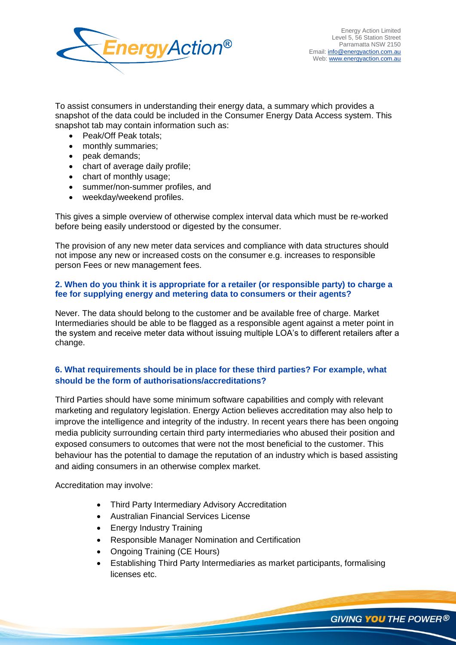

To assist consumers in understanding their energy data, a summary which provides a snapshot of the data could be included in the Consumer Energy Data Access system. This snapshot tab may contain information such as:

- Peak/Off Peak totals;
- monthly summaries;
- peak demands;
- chart of average daily profile;
- chart of monthly usage;
- summer/non-summer profiles, and
- weekday/weekend profiles.

This gives a simple overview of otherwise complex interval data which must be re-worked before being easily understood or digested by the consumer.

The provision of any new meter data services and compliance with data structures should not impose any new or increased costs on the consumer e.g. increases to responsible person Fees or new management fees.

## **2. When do you think it is appropriate for a retailer (or responsible party) to charge a fee for supplying energy and metering data to consumers or their agents?**

Never. The data should belong to the customer and be available free of charge. Market Intermediaries should be able to be flagged as a responsible agent against a meter point in the system and receive meter data without issuing multiple LOA"s to different retailers after a change.

# **6. What requirements should be in place for these third parties? For example, what should be the form of authorisations/accreditations?**

Third Parties should have some minimum software capabilities and comply with relevant marketing and regulatory legislation. Energy Action believes accreditation may also help to improve the intelligence and integrity of the industry. In recent years there has been ongoing media publicity surrounding certain third party intermediaries who abused their position and exposed consumers to outcomes that were not the most beneficial to the customer. This behaviour has the potential to damage the reputation of an industry which is based assisting and aiding consumers in an otherwise complex market.

Accreditation may involve:

- Third Party Intermediary Advisory Accreditation
- Australian Financial Services License
- Energy Industry Training
- Responsible Manager Nomination and Certification
- Ongoing Training (CE Hours)
- Establishing Third Party Intermediaries as market participants, formalising licenses etc.

**GIVING YOU THE POWER®**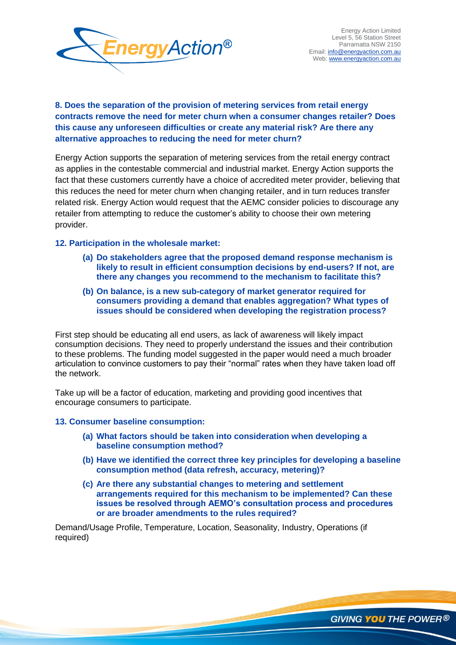

# **8. Does the separation of the provision of metering services from retail energy contracts remove the need for meter churn when a consumer changes retailer? Does this cause any unforeseen difficulties or create any material risk? Are there any alternative approaches to reducing the need for meter churn?**

Energy Action supports the separation of metering services from the retail energy contract as applies in the contestable commercial and industrial market. Energy Action supports the fact that these customers currently have a choice of accredited meter provider, believing that this reduces the need for meter churn when changing retailer, and in turn reduces transfer related risk. Energy Action would request that the AEMC consider policies to discourage any retailer from attempting to reduce the customer"s ability to choose their own metering provider.

# **12. Participation in the wholesale market:**

- **(a) Do stakeholders agree that the proposed demand response mechanism is likely to result in efficient consumption decisions by end-users? If not, are there any changes you recommend to the mechanism to facilitate this?**
- **(b) On balance, is a new sub-category of market generator required for consumers providing a demand that enables aggregation? What types of issues should be considered when developing the registration process?**

First step should be educating all end users, as lack of awareness will likely impact consumption decisions. They need to properly understand the issues and their contribution to these problems. The funding model suggested in the paper would need a much broader articulation to convince customers to pay their "normal" rates when they have taken load off the network.

Take up will be a factor of education, marketing and providing good incentives that encourage consumers to participate.

#### **13. Consumer baseline consumption:**

- **(a) What factors should be taken into consideration when developing a baseline consumption method?**
- **(b) Have we identified the correct three key principles for developing a baseline consumption method (data refresh, accuracy, metering)?**
- **(c) Are there any substantial changes to metering and settlement arrangements required for this mechanism to be implemented? Can these issues be resolved through AEMO's consultation process and procedures or are broader amendments to the rules required?**

Demand/Usage Profile, Temperature, Location, Seasonality, Industry, Operations (if required)

GIVING **YOU** THE POWER®